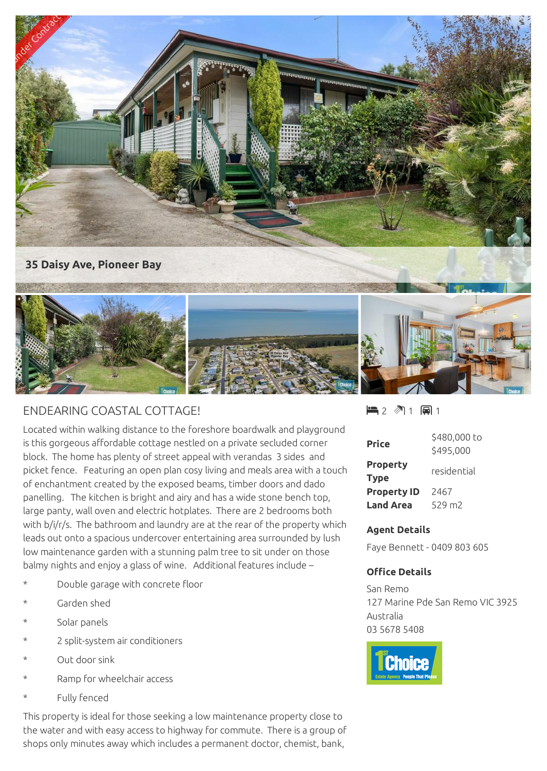

## ENDEARING COASTAL COTTAGE!

Located within walking distance to the foreshore boardwalk and playground is this gorgeous affordable cottage nestled on a private secluded corner block. The home has plenty of street appeal with verandas 3 sides and picket fence. Featuring an open plan cosy living and meals area with a touch of enchantment created by the exposed beams, timber doors and dado panelling. The kitchen is bright and airy and has a wide stone bench top, large panty, wall oven and electric hotplates. There are 2 bedrooms both with b/i/r/s. The bathroom and laundry are at the rear of the property which leads out onto a spacious undercover entertaining area surrounded by lush low maintenance garden with a stunning palm tree to sit under on those balmy nights and enjoy a glass of wine. Additional features include –

- Double garage with concrete floor
- Garden shed
- Solar panels
- 2 split-system air conditioners
- Out door sink
- Ramp for wheelchair access
- Fully fenced

This property is ideal for those seeking a low maintenance property close to the water and with easy access to highway for commute. There is a group of shops only minutes away which includes a permanent doctor, chemist, bank,

## $\blacksquare$  2  $\mathbb{M}$  1  $\boxplus$  1

| <b>Price</b>                   | \$480,000 to |
|--------------------------------|--------------|
|                                | \$495,000    |
| <b>Property</b><br><b>Type</b> | residential  |
| <b>Property ID</b>             | 2467         |
| <b>Land Area</b>               | 529 m2       |

## **Agent Details**

Faye Bennett - 0409 803 605

## **Office Details**

San Remo 127 Marine Pde San Remo VIC 3925 Australia 03 5678 5408